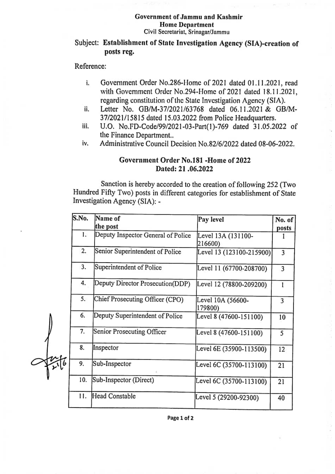#### Government ofJammu and Kashmir Home Department Civil Secretariat, Srinagar/Jammu

# Subject: Establishment of State Investigation Agency (SIA)-creation of posts reg.

Reference:

- Govemment Order No.286-Home of 2021 dated 01.11.2021, read with Govermment Order No.294-Home of 2021 dated 18.11.2021, regarding constitution of the State Investigation Agency (SIA). i.
- Letter No. GB/M-37/2021/63768 dated 06.11.2021& GB/Mi. 37/2021/15815 dated 15.03.2022 from Police Headquarters.
- U.O. No.FD-Code/99/2021-03-Part(1)-769 dated 31.05.2022 of the Finance Department.. ii.
- Administrative Council Decision No.82/6/2022 dated 08-06-2022. iv.

### Government Order No.181 -Home of 2022 Dated: 21.06.2022

Sanction is hereby accorded to the creation of following 252 (Two Hundred Fifty Two) posts in different categories for establishment of State Investigation Agency (SIA): -

| S.No. | Name of<br>the post                | Pay level                     | No. of<br>posts |
|-------|------------------------------------|-------------------------------|-----------------|
| 1.    | Deputy Inspector General of Police | Level 13A (131100-<br>216600) |                 |
| 2.    | Senior Superintendent of Police    | Level 13 (123100-215900)      | 3               |
| 3.    | Superintendent of Police           | Level 11 (67700-208700)       | 3               |
| 4.    | Deputy Director Prosecution(DDP)   | Level 12 (78800-209200)       |                 |
| 5.    | Chief Prosecuting Officer (CPO)    | Level 10A (56600-<br>179800)  | 3               |
| 6.    | Deputy Superintendent of Police    | Level 8 (47600-151100)        | 10              |
| 7.    | Senior Prosecuting Officer         | Level 8 (47600-151100)        | 5               |
| 8.    | Inspector                          | Level 6E (35900-113500)       | 12              |
| 9.    | Sub-Inspector                      | Level 6C (35700-113100)       | 21              |
| 10.   | Sub-Inspector (Direct)             | Level 6C (35700-113100)       | 21              |
| 11.   | Head Constable                     | Level 5 (29200-92300)         | 40              |
|       |                                    |                               |                 |